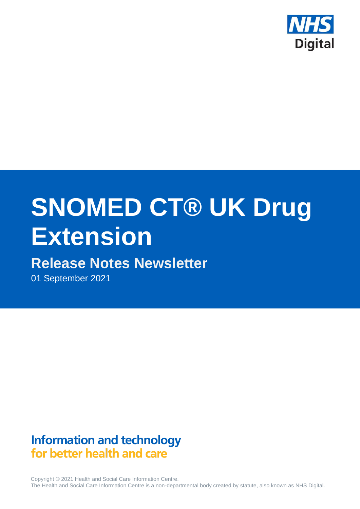

# **SNOMED CT® UK Drug Extension**

## **Release Notes Newsletter**

01 September 2021

**Information and technology** for better health and care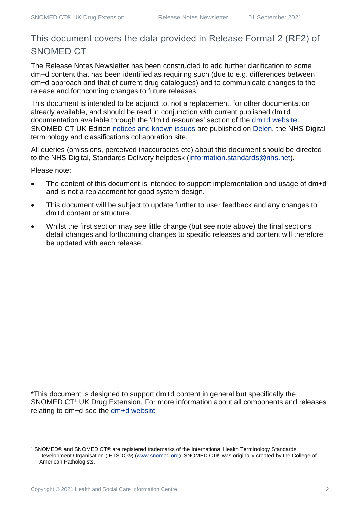## This document covers the data provided in Release Format 2 (RF2) of SNOMED CT

The Release Notes Newsletter has been constructed to add further clarification to some dm+d content that has been identified as requiring such (due to e.g. differences between dm+d approach and that of current drug catalogues) and to communicate changes to the release and forthcoming changes to future releases.

This document is intended to be adjunct to, not a replacement, for other documentation already available, and should be read in conjunction with current published dm+d documentation available through the 'dm+d resources' section of the [dm+d website.](https://www.nhsbsa.nhs.uk/pharmacies-gp-practices-and-appliance-contractors/dictionary-medicines-and-devices-dmd) SNOMED CT UK Edition [notices and known issues](https://hscic.kahootz.com/connect.ti/t_c_home/view?objectId=14224752) are published on [Delen,](https://hscic.kahootz.com/connect.ti/t_c_home) the NHS Digital terminology and classifications collaboration site.

All queries (omissions, perceived inaccuracies etc) about this document should be directed to the NHS Digital, Standards Delivery helpdesk [\(information.standards@nhs.net\)](mailto:information.standards@nhs.net).

Please note:

- The content of this document is intended to support implementation and usage of dm+d and is not a replacement for good system design.
- This document will be subject to update further to user feedback and any changes to dm+d content or structure.
- Whilst the first section may see little change (but see note above) the final sections detail changes and forthcoming changes to specific releases and content will therefore be updated with each release.

\*This document is designed to support dm+d content in general but specifically the SNOMED CT<sup>1</sup> UK Drug Extension. For more information about all components and releases relating to dm+d see the [dm+d website](https://www.nhsbsa.nhs.uk/pharmacies-gp-practices-and-appliance-contractors/dictionary-medicines-and-devices-dmd)

<sup>1</sup> SNOMED® and SNOMED CT® are registered trademarks of the International Health Terminology Standards Development Organisation (IHTSDO®) [\(www.snomed.org\)](http://www.snomed.org/). SNOMED CT® was originally created by the College of American Pathologists.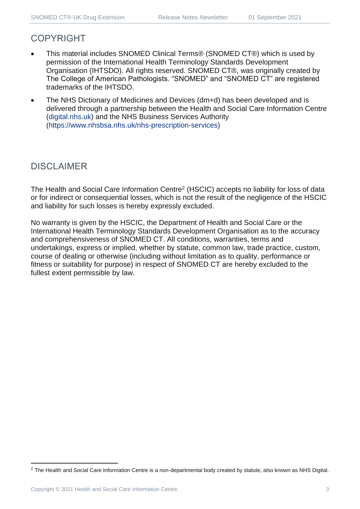#### COPYRIGHT

- This material includes SNOMED Clinical Terms® (SNOMED CT®) which is used by permission of the International Health Terminology Standards Development Organisation (IHTSDO). All rights reserved. SNOMED CT®, was originally created by The College of American Pathologists. "SNOMED" and "SNOMED CT" are registered trademarks of the IHTSDO.
- The NHS Dictionary of Medicines and Devices (dm+d) has been developed and is delivered through a partnership between the Health and Social Care Information Centre [\(digital.nhs.uk\)](https://digital.nhs.uk/) and the NHS Business Services Authority [\(https://www.nhsbsa.nhs.uk/nhs-prescription-services\)](https://www.nhsbsa.nhs.uk/nhs-prescription-services)

## DISCLAIMER

The Health and Social Care Information Centre<sup>2</sup> (HSCIC) accepts no liability for loss of data or for indirect or consequential losses, which is not the result of the negligence of the HSCIC and liability for such losses is hereby expressly excluded.

No warranty is given by the HSCIC, the Department of Health and Social Care or the International Health Terminology Standards Development Organisation as to the accuracy and comprehensiveness of SNOMED CT. All conditions, warranties, terms and undertakings, express or implied, whether by statute, common law, trade practice, custom, course of dealing or otherwise (including without limitation as to quality, performance or fitness or suitability for purpose) in respect of SNOMED CT are hereby excluded to the fullest extent permissible by law.

<sup>&</sup>lt;sup>2</sup> The Health and Social Care Information Centre is a non-departmental body created by statute, also known as NHS Digital.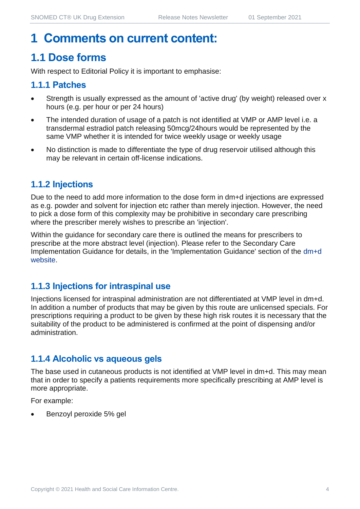## **1 Comments on current content:**

## **1.1 Dose forms**

With respect to Editorial Policy it is important to emphasise:

#### **1.1.1 Patches**

- Strength is usually expressed as the amount of 'active drug' (by weight) released over x hours (e.g. per hour or per 24 hours)
- The intended duration of usage of a patch is not identified at VMP or AMP level i.e. a transdermal estradiol patch releasing 50mcg/24hours would be represented by the same VMP whether it is intended for twice weekly usage or weekly usage
- No distinction is made to differentiate the type of drug reservoir utilised although this may be relevant in certain off-license indications.

#### **1.1.2 Injections**

Due to the need to add more information to the dose form in dm+d injections are expressed as e.g. powder and solvent for injection etc rather than merely injection. However, the need to pick a dose form of this complexity may be prohibitive in secondary care prescribing where the prescriber merely wishes to prescribe an 'injection'.

Within the guidance for secondary care there is outlined the means for prescribers to prescribe at the more abstract level (injection). Please refer to the Secondary Care Implementation Guidance for details, in the 'Implementation Guidance' section of the [dm+d](https://www.nhsbsa.nhs.uk/pharmacies-gp-practices-and-appliance-contractors/dictionary-medicines-and-devices-dmd)  [website.](https://www.nhsbsa.nhs.uk/pharmacies-gp-practices-and-appliance-contractors/dictionary-medicines-and-devices-dmd)

#### **1.1.3 Injections for intraspinal use**

Injections licensed for intraspinal administration are not differentiated at VMP level in dm+d. In addition a number of products that may be given by this route are unlicensed specials. For prescriptions requiring a product to be given by these high risk routes it is necessary that the suitability of the product to be administered is confirmed at the point of dispensing and/or administration.

#### **1.1.4 Alcoholic vs aqueous gels**

The base used in cutaneous products is not identified at VMP level in dm+d. This may mean that in order to specify a patients requirements more specifically prescribing at AMP level is more appropriate.

For example:

• Benzoyl peroxide 5% gel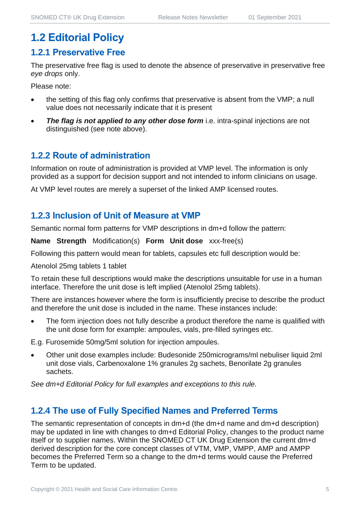## **1.2 Editorial Policy**

#### **1.2.1 Preservative Free**

The preservative free flag is used to denote the absence of preservative in preservative free *eye drops* only.

Please note:

- the setting of this flag only confirms that preservative is absent from the VMP; a null value does not necessarily indicate that it is present
- **The flag is not applied to any other dose form** i.e. intra-spinal injections are not distinguished (see note above).

#### **1.2.2 Route of administration**

Information on route of administration is provided at VMP level. The information is only provided as a support for decision support and not intended to inform clinicians on usage.

At VMP level routes are merely a superset of the linked AMP licensed routes.

#### **1.2.3 Inclusion of Unit of Measure at VMP**

Semantic normal form patterns for VMP descriptions in dm+d follow the pattern:

**Name Strength** Modification(s) **Form Unit dose** xxx-free(s)

Following this pattern would mean for tablets, capsules etc full description would be:

Atenolol 25mg tablets 1 tablet

To retain these full descriptions would make the descriptions unsuitable for use in a human interface. Therefore the unit dose is left implied (Atenolol 25mg tablets).

There are instances however where the form is insufficiently precise to describe the product and therefore the unit dose is included in the name. These instances include:

The form injection does not fully describe a product therefore the name is qualified with the unit dose form for example: ampoules, vials, pre-filled syringes etc.

E.g. Furosemide 50mg/5ml solution for injection ampoules.

• Other unit dose examples include: Budesonide 250micrograms/ml nebuliser liquid 2ml unit dose vials, Carbenoxalone 1% granules 2g sachets, Benorilate 2g granules sachets.

*See dm+d Editorial Policy for full examples and exceptions to this rule.*

#### **1.2.4 The use of Fully Specified Names and Preferred Terms**

The semantic representation of concepts in dm+d (the dm+d name and dm+d description) may be updated in line with changes to dm+d Editorial Policy, changes to the product name itself or to supplier names. Within the SNOMED CT UK Drug Extension the current dm+d derived description for the core concept classes of VTM, VMP, VMPP, AMP and AMPP becomes the Preferred Term so a change to the dm+d terms would cause the Preferred Term to be updated.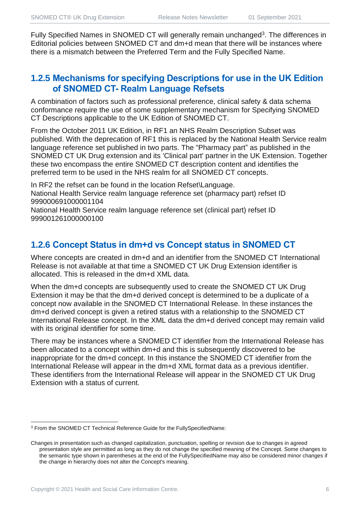Fully Specified Names in SNOMED CT will generally remain unchanged<sup>3</sup>. The differences in Editorial policies between SNOMED CT and dm+d mean that there will be instances where there is a mismatch between the Preferred Term and the Fully Specified Name.

#### **1.2.5 Mechanisms for specifying Descriptions for use in the UK Edition of SNOMED CT- Realm Language Refsets**

A combination of factors such as professional preference, clinical safety & data schema conformance require the use of some supplementary mechanism for Specifying SNOMED CT Descriptions applicable to the UK Edition of SNOMED CT.

From the October 2011 UK Edition, in RF1 an NHS Realm Description Subset was published. With the deprecation of RF1 this is replaced by the National Health Service realm language reference set published in two parts. The "Pharmacy part" as published in the SNOMED CT UK Drug extension and its 'Clinical part' partner in the UK Extension. Together these two encompass the entire SNOMED CT description content and identifies the preferred term to be used in the NHS realm for all SNOMED CT concepts.

In RF2 the refset can be found in the location Refset\Language. National Health Service realm language reference set (pharmacy part) refset ID 999000691000001104

National Health Service realm language reference set (clinical part) refset ID 999001261000000100

#### **1.2.6 Concept Status in dm+d vs Concept status in SNOMED CT**

Where concepts are created in dm+d and an identifier from the SNOMED CT International Release is not available at that time a SNOMED CT UK Drug Extension identifier is allocated. This is released in the dm+d XML data.

When the dm+d concepts are subsequently used to create the SNOMED CT UK Drug Extension it may be that the dm+d derived concept is determined to be a duplicate of a concept now available in the SNOMED CT International Release. In these instances the dm+d derived concept is given a retired status with a relationship to the SNOMED CT International Release concept. In the XML data the dm+d derived concept may remain valid with its original identifier for some time.

There may be instances where a SNOMED CT identifier from the International Release has been allocated to a concept within dm+d and this is subsequently discovered to be inappropriate for the dm+d concept. In this instance the SNOMED CT identifier from the International Release will appear in the dm+d XML format data as a previous identifier. These identifiers from the International Release will appear in the SNOMED CT UK Drug Extension with a status of current.

<sup>3</sup> From the SNOMED CT Technical Reference Guide for the FullySpecifiedName:

Changes in presentation such as changed capitalization, punctuation, spelling or revision due to changes in agreed presentation style are permitted as long as they do not change the specified meaning of the Concept. Some changes to the semantic type shown in parentheses at the end of the FullySpecifiedName may also be considered minor changes if the change in hierarchy does not alter the Concept's meaning.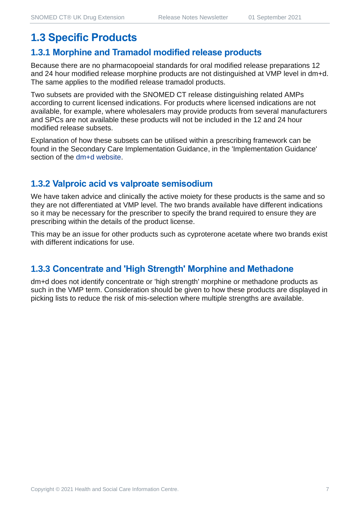## **1.3 Specific Products**

#### **1.3.1 Morphine and Tramadol modified release products**

Because there are no pharmacopoeial standards for oral modified release preparations 12 and 24 hour modified release morphine products are not distinguished at VMP level in dm+d. The same applies to the modified release tramadol products.

Two subsets are provided with the SNOMED CT release distinguishing related AMPs according to current licensed indications. For products where licensed indications are not available, for example, where wholesalers may provide products from several manufacturers and SPCs are not available these products will not be included in the 12 and 24 hour modified release subsets.

Explanation of how these subsets can be utilised within a prescribing framework can be found in the Secondary Care Implementation Guidance, in the 'Implementation Guidance' section of the [dm+d website.](https://www.nhsbsa.nhs.uk/pharmacies-gp-practices-and-appliance-contractors/dictionary-medicines-and-devices-dmd)

#### **1.3.2 Valproic acid vs valproate semisodium**

We have taken advice and clinically the active moiety for these products is the same and so they are not differentiated at VMP level. The two brands available have different indications so it may be necessary for the prescriber to specify the brand required to ensure they are prescribing within the details of the product license.

This may be an issue for other products such as cyproterone acetate where two brands exist with different indications for use.

#### **1.3.3 Concentrate and 'High Strength' Morphine and Methadone**

dm+d does not identify concentrate or 'high strength' morphine or methadone products as such in the VMP term. Consideration should be given to how these products are displayed in picking lists to reduce the risk of mis-selection where multiple strengths are available.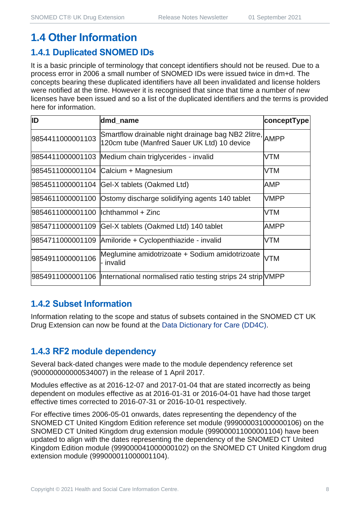## **1.4 Other Information**

#### **1.4.1 Duplicated SNOMED IDs**

It is a basic principle of terminology that concept identifiers should not be reused. Due to a process error in 2006 a small number of SNOMED IDs were issued twice in dm+d. The concepts bearing these duplicated identifiers have all been invalidated and license holders were notified at the time. However it is recognised that since that time a number of new licenses have been issued and so a list of the duplicated identifiers and the terms is provided here for information.

| ID                                  | dmd_name                                                                                               | conceptType |
|-------------------------------------|--------------------------------------------------------------------------------------------------------|-------------|
| 9854411000001103                    | Smartflow drainable night drainage bag NB2 2litre, AMPP<br>120cm tube (Manfred Sauer UK Ltd) 10 device |             |
|                                     | 9854411000001103 Medium chain triglycerides - invalid                                                  | <b>VTM</b>  |
|                                     | 9854511000001104 Calcium + Magnesium                                                                   | <b>VTM</b>  |
|                                     | 9854511000001104 Gel-X tablets (Oakmed Ltd)                                                            | AMP         |
|                                     | 9854611000001100 Ostomy discharge solidifying agents 140 tablet                                        | <b>VMPP</b> |
| 9854611000001100  lchthammol + Zinc |                                                                                                        | <b>VTM</b>  |
| 9854711000001109                    | Gel-X tablets (Oakmed Ltd) 140 tablet                                                                  | <b>AMPP</b> |
|                                     | 9854711000001109 Amiloride + Cyclopenthiazide - invalid                                                | <b>VTM</b>  |
| 9854911000001106                    | Meglumine amidotrizoate + Sodium amidotrizoate<br>- invalid                                            | <b>VTM</b>  |
|                                     | 9854911000001106  International normalised ratio testing strips 24 strip VMPP                          |             |

#### **1.4.2 Subset Information**

Information relating to the scope and status of subsets contained in the SNOMED CT UK Drug Extension can now be found at the [Data Dictionary for Care \(DD4C\).](https://dd4c.digital.nhs.uk/dd4c/)

#### **1.4.3 RF2 module dependency**

Several back-dated changes were made to the module dependency reference set (900000000000534007) in the release of 1 April 2017.

Modules effective as at 2016-12-07 and 2017-01-04 that are stated incorrectly as being dependent on modules effective as at 2016-01-31 or 2016-04-01 have had those target effective times corrected to 2016-07-31 or 2016-10-01 respectively.

For effective times 2006-05-01 onwards, dates representing the dependency of the SNOMED CT United Kingdom Edition reference set module (999000031000000106) on the SNOMED CT United Kingdom drug extension module (999000011000001104) have been updated to align with the dates representing the dependency of the SNOMED CT United Kingdom Edition module (999000041000000102) on the SNOMED CT United Kingdom drug extension module (999000011000001104).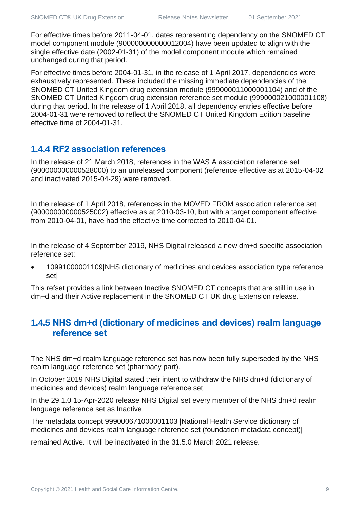For effective times before 2011-04-01, dates representing dependency on the SNOMED CT model component module (900000000000012004) have been updated to align with the single effective date (2002-01-31) of the model component module which remained unchanged during that period.

For effective times before 2004-01-31, in the release of 1 April 2017, dependencies were exhaustively represented. These included the missing immediate dependencies of the SNOMED CT United Kingdom drug extension module (999000011000001104) and of the SNOMED CT United Kingdom drug extension reference set module (999000021000001108) during that period. In the release of 1 April 2018, all dependency entries effective before 2004-01-31 were removed to reflect the SNOMED CT United Kingdom Edition baseline effective time of 2004-01-31.

#### **1.4.4 RF2 association references**

In the release of 21 March 2018, references in the WAS A association reference set (900000000000528000) to an unreleased component (reference effective as at 2015-04-02 and inactivated 2015-04-29) were removed.

In the release of 1 April 2018, references in the MOVED FROM association reference set (900000000000525002) effective as at 2010-03-10, but with a target component effective from 2010-04-01, have had the effective time corrected to 2010-04-01.

In the release of 4 September 2019, NHS Digital released a new dm+d specific association reference set:

• 10991000001109|NHS dictionary of medicines and devices association type reference set|

This refset provides a link between Inactive SNOMED CT concepts that are still in use in dm+d and their Active replacement in the SNOMED CT UK drug Extension release.

#### **1.4.5 NHS dm+d (dictionary of medicines and devices) realm language reference set**

The NHS dm+d realm language reference set has now been fully superseded by the NHS realm language reference set (pharmacy part).

In October 2019 NHS Digital stated their intent to withdraw the NHS dm+d (dictionary of medicines and devices) realm language reference set.

In the 29.1.0 15-Apr-2020 release NHS Digital set every member of the NHS dm+d realm language reference set as Inactive.

The metadata concept 999000671000001103 |National Health Service dictionary of medicines and devices realm language reference set (foundation metadata concept)|

remained Active. It will be inactivated in the 31.5.0 March 2021 release.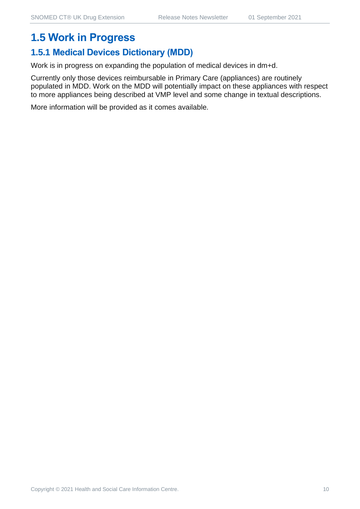## **1.5 Work in Progress**

## **1.5.1 Medical Devices Dictionary (MDD)**

Work is in progress on expanding the population of medical devices in dm+d.

Currently only those devices reimbursable in Primary Care (appliances) are routinely populated in MDD. Work on the MDD will potentially impact on these appliances with respect to more appliances being described at VMP level and some change in textual descriptions.

More information will be provided as it comes available.